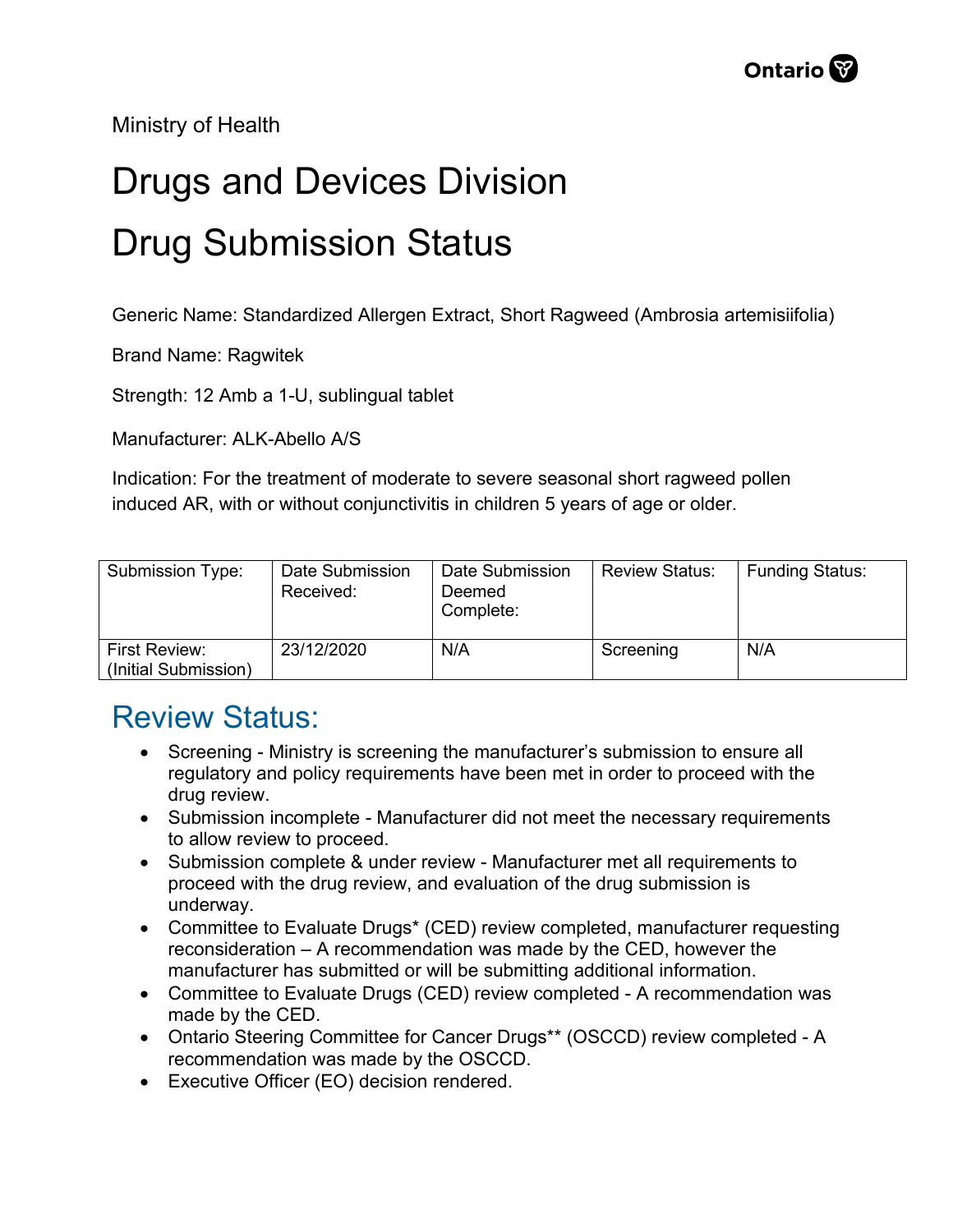Ministry of Health

## Drugs and Devices Division Drug Submission Status

Generic Name: Standardized Allergen Extract, Short Ragweed (Ambrosia artemisiifolia)

Brand Name: Ragwitek

Strength: 12 Amb a 1-U, sublingual tablet

Manufacturer: ALK-Abello A/S

Indication: For the treatment of moderate to severe seasonal short ragweed pollen induced AR, with or without conjunctivitis in children 5 years of age or older.

| Submission Type:                             | Date Submission<br>Received: | Date Submission<br>Deemed<br>Complete: | <b>Review Status:</b> | <b>Funding Status:</b> |
|----------------------------------------------|------------------------------|----------------------------------------|-----------------------|------------------------|
| <b>First Review:</b><br>(Initial Submission) | 23/12/2020                   | N/A                                    | Screening             | N/A                    |

## Review Status:

- Screening Ministry is screening the manufacturer's submission to ensure all regulatory and policy requirements have been met in order to proceed with the drug review.
- Submission incomplete Manufacturer did not meet the necessary requirements to allow review to proceed.
- Submission complete & under review Manufacturer met all requirements to proceed with the drug review, and evaluation of the drug submission is underway.
- Committee to Evaluate Drugs\* (CED) review completed, manufacturer requesting reconsideration – A recommendation was made by the CED, however the manufacturer has submitted or will be submitting additional information.
- Committee to Evaluate Drugs (CED) review completed A recommendation was made by the CED.
- Ontario Steering Committee for Cancer Drugs\*\* (OSCCD) review completed A recommendation was made by the OSCCD.
- Executive Officer (EO) decision rendered.